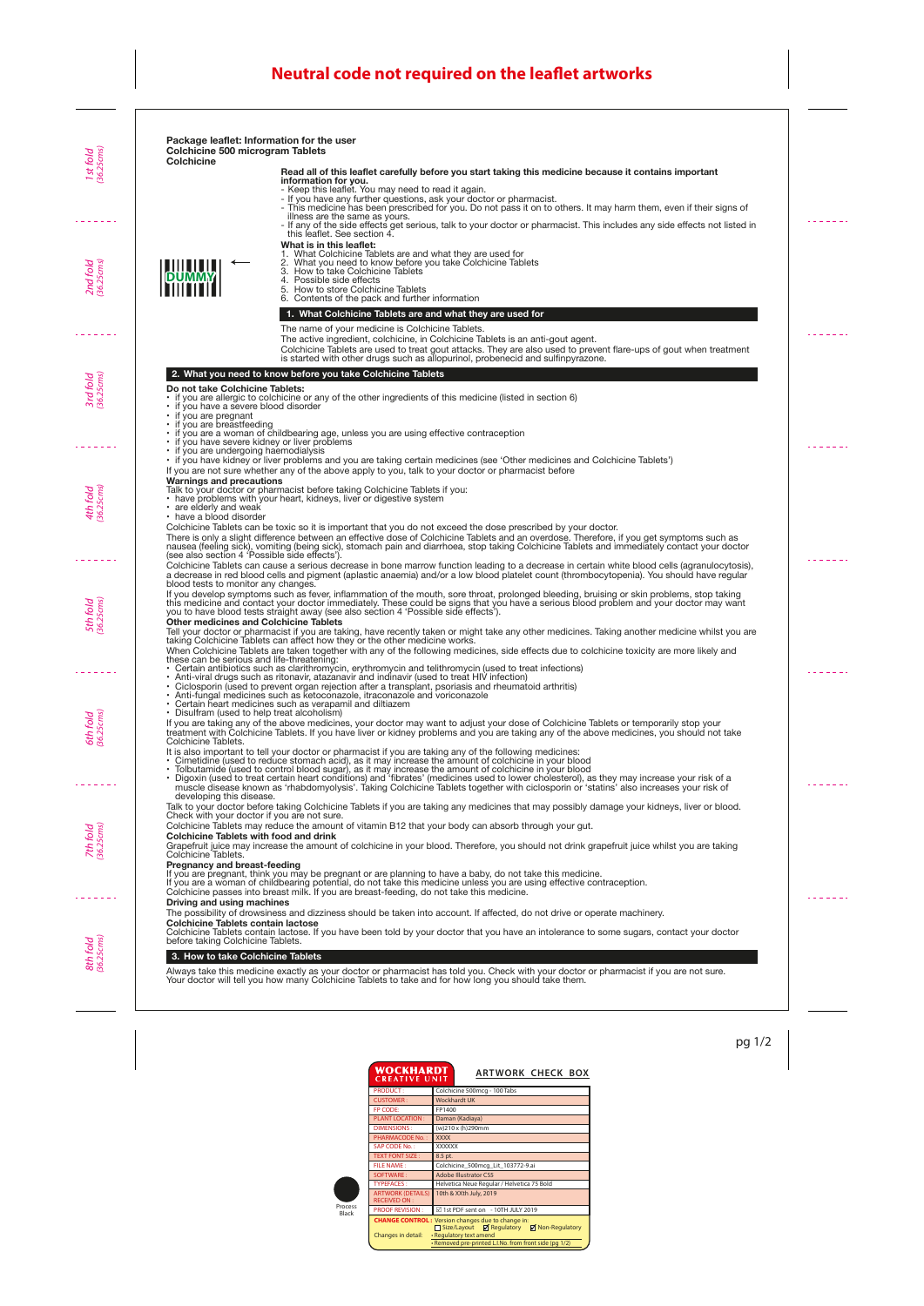### **Read all of this leaflet carefully before you start taking this medicine because it contains important information for you.**

- Keep this leaflet. You may need to read it again.
- If you have any further questions, ask your doctor or pharmacist.
- This medicine has been prescribed for you. Do not pass it on to others. It may harm them, even if their signs of illness are the same as yours.
- If any of the side effects get serious, talk to your doctor or pharmacist. This includes any side effects not listed in this leaflet. See section 4.

### **What is in this leaflet:**

- 1. What Colchicine Tablets are and what they are used for
- 2. What you need to know before you take Colchicine Tablets
- 3. How to take Colchicine Tablets<br>4. Possible side effects
- Possible side effects 5. How to store Colchicine Tablets
- 6. Contents of the pack and further information

### **1. What Colchicine Tablets are and what they are used for**

The name of your medicine is Colchicine Tablets.

The active ingredient, colchicine, in Colchicine Tablets is an anti-gout agent.

Colchicine Tablets are used to treat gout attacks. They are also used to prevent flare-ups of gout when treatment is started with other drugs such as allopurinol, probenecid and sulfinpyrazone.

## **2. What you need to know before you take Colchicine Tablets**

### **Do not take Colchicine Tablets:**

- if you are allergic to colchicine or any of the other ingredients of this medicine (listed in section 6)<br>• if you have a severe blood disorder
- if you have a severe blood disorder
- if you are pregnant
- if you are breastfeeding
- if you are a woman of childbearing age, unless you are using effective contraception
- if you have severe kidney or liver problems
- if you are undergoing haemodialysis
- if you have kidney or liver problems and you are taking certain medicines (see 'Other medicines and Colchicine Tablets')
- If you are not sure whether any of the above apply to you, talk to your doctor or pharmacist before

# **Warnings and precautions**

Talk to your doctor or pharmacist before taking Colchicine Tablets if you:

- have problems with your heart, kidneys, liver or digestive system
- are elderly and weak
- have a blood disorder

Colchicine Tablets can be toxic so it is important that you do not exceed the dose prescribed by your doctor.

There is only a slight difference between an effective dose of Colchicine Tablets and an overdose. Therefore, if you get symptoms such as nausea (feeling sick), vomiting (being sick), stomach pain and diarrhoea, stop taking Colchicine Tablets and immediately contact your doctor (see also section 4 'Possible side effects').

Colchicine Tablets can cause a serious decrease in bone marrow function leading to a decrease in certain white blood cells (agranulocytosis), a decrease in red blood cells and pigment (aplastic anaemia) and/or a low blood platelet count (thrombocytopenia). You should have regular blood tests to monitor any changes.

If you develop symptoms such as fever, inflammation of the mouth, sore throat, prolonged bleeding, bruising or skin problems, stop taking this medicine and contact your doctor immediately. These could be signs that you have a serious blood problem and your doctor may want you to have blood tests straight away (see also section 4 'Possible side effects').

### **Other medicines and Colchicine Tablets**

Tell your doctor or pharmacist if you are taking, have recently taken or might take any other medicines. Taking another medicine whilst you are taking Colchicine Tablets can affect how they or the other medicine works.

When Colchicine Tablets are taken together with any of the following medicines, side effects due to colchicine toxicity are more likely and these can be serious and life-threatening:

- Certain antibiotics such as clarithromycin, erythromycin and telithromycin (used to treat infections)
- Anti-viral drugs such as ritonavir, atazanavir and indinavir (used to treat HIV infection)
- Ciclosporin (used to prevent organ rejection after a transplant, psoriasis and rheumatoid arthritis)
- Anti-fungal medicines such as ketoconazole, itraconazole and voriconazole
- Certain heart medicines such as verapamil and diltiazem
- Disulfram (used to help treat alcoholism)

If you are taking any of the above medicines, your doctor may want to adjust your dose of Colchicine Tablets or temporarily stop your treatment with Colchicine Tablets. If you have liver or kidney problems and you are taking any of the above medicines, you should not take Colchicine Tablets.

It is also important to tell your doctor or pharmacist if you are taking any of the following medicines:

- Cimetidine (used to reduce stomach acid), as it may increase the amount of colchicine in your blood
- Tolbutamide (used to control blood sugar), as it may increase the amount of colchicine in your blood
- Digoxin (used to treat certain heart conditions) and 'fibrates' (medicines used to lower cholesterol), as they may increase your risk of a muscle disease known as 'rhabdomyolysis'. Taking Colchicine Tablets together with ciclosporin or 'statins' also increases your risk of developing this disease.

Talk to your doctor before taking Colchicine Tablets if you are taking any medicines that may possibly damage your kidneys, liver or blood. Check with your doctor if you are not sure.

Colchicine Tablets may reduce the amount of vitamin B12 that your body can absorb through your gut.

### **Colchicine Tablets with food and drink**

Grapefruit juice may increase the amount of colchicine in your blood. Therefore, you should not drink grapefruit juice whilst you are taking Colchicine Tablets.

### **Pregnancy and breast-feeding**

If you are pregnant, think you may be pregnant or are planning to have a baby, do not take this medicine.

If you are a woman of childbearing potential, do not take this medicine unless you are using effective contraception.

Colchicine passes into breast milk. If you are breast-feeding, do not take this medicine.

# **Driving and using machines**

The possibility of drowsiness and dizziness should be taken into account. If affected, do not drive or operate machinery.

# **Colchicine Tablets contain lactose**

Colchicine Tablets contain lactose. If you have been told by your doctor that you have an intolerance to some sugars, contact your doctor before taking Colchicine Tablets.

# **3. How to take Colchicine Tablets**

Always take this medicine exactly as your doctor or pharmacist has told you. Check with your doctor or pharmacist if you are not sure. Your doctor will tell you how many Colchicine Tablets to take and for how long you should take them.